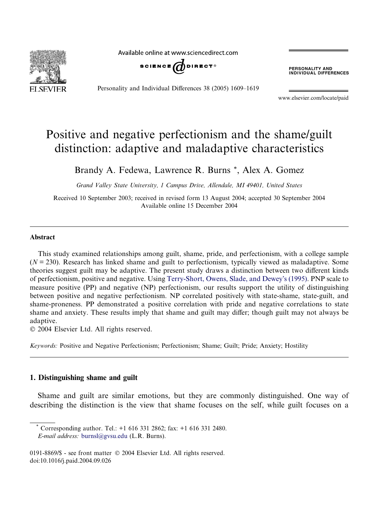

Available online at www.sciencedirect.com



Personality and Individual Differences 38 (2005) 1609–1619

**PERSONALITY AND<br>INDIVIDUAL DIFFERENCES** 

www.elsevier.com/locate/paid

# Positive and negative perfectionism and the shame/guilt distinction: adaptive and maladaptive characteristics

Brandy A. Fedewa, Lawrence R. Burns \*, Alex A. Gomez

Grand Valley State University, 1 Campus Drive, Allendale, MI 49401, United States

Received 10 September 2003; received in revised form 13 August 2004; accepted 30 September 2004 Available online 15 December 2004

#### Abstract

This study examined relationships among guilt, shame, pride, and perfectionism, with a college sample  $(N = 230)$ . Research has linked shame and guilt to perfectionism, typically viewed as maladaptive. Some theories suggest guilt may be adaptive. The present study draws a distinction between two different kinds of perfectionism, positive and negative. Using [Terry-Short, Owens, Slade, and Dewey](#page-10-0)s (1995). PNP scale to measure positive (PP) and negative (NP) perfectionism, our results support the utility of distinguishing between positive and negative perfectionism. NP correlated positively with state-shame, state-guilt, and shame-proneness. PP demonstrated a positive correlation with pride and negative correlations to state shame and anxiety. These results imply that shame and guilt may differ; though guilt may not always be adaptive.

2004 Elsevier Ltd. All rights reserved.

Keywords: Positive and Negative Perfectionism; Perfectionism; Shame; Guilt; Pride; Anxiety; Hostility

# 1. Distinguishing shame and guilt

Shame and guilt are similar emotions, but they are commonly distinguished. One way of describing the distinction is the view that shame focuses on the self, while guilt focuses on a

Corresponding author. Tel.: +1 616 331 2862; fax: +1 616 331 2480.

E-mail address: [burnsl@gvsu.edu](mailto:burnsl@gvsu.edu ) (L.R. Burns).

<sup>0191-8869/\$ -</sup> see front matter © 2004 Elsevier Ltd. All rights reserved. doi:10.1016/j.paid.2004.09.026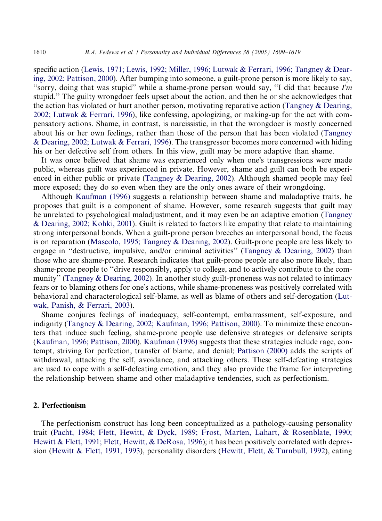specific action [\(Lewis, 1971; Lewis, 1992; Miller, 1996; Lutwak & Ferrari, 1996; Tangney & Dear](#page-9-0)[ing, 2002; Pattison, 2000](#page-9-0)). After bumping into someone, a guilt-prone person is more likely to say, "sorry, doing that was stupid" while a shame-prone person would say, "I did that because  $\Gamma m$ stupid.'' The guilty wrongdoer feels upset about the action, and then he or she acknowledges that the action has violated or hurt another person, motivating reparative action [\(Tangney & Dearing,](#page-9-0) [2002; Lutwak & Ferrari, 1996\)](#page-9-0), like confessing, apologizing, or making-up for the act with compensatory actions. Shame, in contrast, is narcissistic, in that the wrongdoer is mostly concerned about his or her own feelings, rather than those of the person that has been violated [\(Tangney](#page-9-0) [& Dearing, 2002; Lutwak & Ferrari, 1996](#page-9-0)). The transgressor becomes more concerned with hiding his or her defective self from others. In this view, guilt may be more adaptive than shame.

It was once believed that shame was experienced only when one's transgressions were made public, whereas guilt was experienced in private. However, shame and guilt can both be experienced in either public or private ([Tangney & Dearing, 2002\)](#page-9-0). Although shamed people may feel more exposed; they do so even when they are the only ones aware of their wrongdoing.

Although [Kaufman \(1996\)](#page-9-0) suggests a relationship between shame and maladaptive traits, he proposes that guilt is a component of shame. However, some research suggests that guilt may be unrelated to psychological maladjustment, and it may even be an adaptive emotion [\(Tangney](#page-9-0) [& Dearing, 2002; Kohki, 2001\)](#page-9-0). Guilt is related to factors like empathy that relate to maintaining strong interpersonal bonds. When a guilt-prone person breeches an interpersonal bond, the focus is on reparation ([Mascolo, 1995; Tangney & Dearing, 2002\)](#page-9-0). Guilt-prone people are less likely to engage in ''destructive, impulsive, and/or criminal activities'' ([Tangney & Dearing, 2002](#page-9-0)) than those who are shame-prone. Research indicates that guilt-prone people are also more likely, than shame-prone people to ''drive responsibly, apply to college, and to actively contribute to the community'' ([Tangney & Dearing, 2002\)](#page-9-0). In another study guilt-proneness was not related to intimacy fears or to blaming others for one's actions, while shame-proneness was positively correlated with behavioral and characterological self-blame, as well as blame of others and self-derogation [\(Lut](#page-9-0)[wak, Panish, & Ferrari, 2003](#page-9-0)).

Shame conjures feelings of inadequacy, self-contempt, embarrassment, self-exposure, and indignity ([Tangney & Dearing, 2002; Kaufman, 1996; Pattison, 2000\)](#page-9-0). To minimize these encounters that induce such feeling, shame-prone people use defensive strategies or defensive scripts [\(Kaufman, 1996; Pattison, 2000](#page-9-0)). [Kaufman \(1996\)](#page-9-0) suggests that these strategies include rage, contempt, striving for perfection, transfer of blame, and denial; [Pattison \(2000\)](#page-9-0) adds the scripts of withdrawal, attacking the self, avoidance, and attacking others. These self-defeating strategies are used to cope with a self-defeating emotion, and they also provide the frame for interpreting the relationship between shame and other maladaptive tendencies, such as perfectionism.

# 2. Perfectionism

The perfectionism construct has long been conceptualized as a pathology-causing personality trait ([Pacht, 1984; Flett, Hewitt, & Dyck, 1989; Frost, Marten, Lahart, & Rosenblate, 1990;](#page-9-0) [Hewitt & Flett, 1991; Flett, Hewitt, & DeRosa, 1996\)](#page-9-0); it has been positively correlated with depression ([Hewitt & Flett, 1991, 1993\)](#page-9-0), personality disorders ([Hewitt, Flett, & Turnbull, 1992](#page-9-0)), eating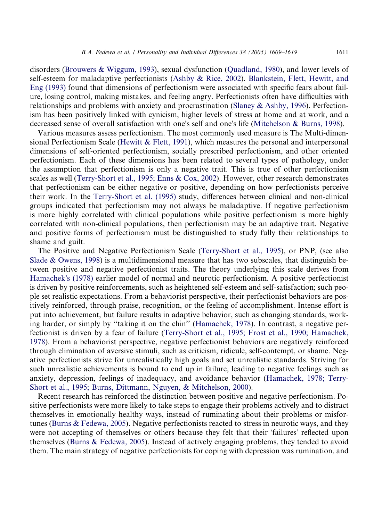disorders [\(Brouwers & Wiggum, 1993\)](#page-8-0), sexual dysfunction ([Quadland, 1980\)](#page-9-0), and lower levels of self-esteem for maladaptive perfectionists ([Ashby & Rice, 2002](#page-8-0)). [Blankstein, Flett, Hewitt, and](#page-8-0) [Eng \(1993\)](#page-8-0) found that dimensions of perfectionism were associated with specific fears about failure, losing control, making mistakes, and feeling angry. Perfectionists often have difficulties with relationships and problems with anxiety and procrastination [\(Slaney & Ashby, 1996\)](#page-9-0). Perfectionism has been positively linked with cynicism, higher levels of stress at home and at work, and a decreased sense of overall satisfaction with one's self and one's life [\(Mitchelson & Burns, 1998\)](#page-9-0).

Various measures assess perfectionism. The most commonly used measure is The Multi-dimen-sional Perfectionism Scale ([Hewitt & Flett, 1991\)](#page-9-0), which measures the personal and interpersonal dimensions of self-oriented perfectionism, socially prescribed perfectionism, and other oriented perfectionism. Each of these dimensions has been related to several types of pathology, under the assumption that perfectionism is only a negative trait. This is true of other perfectionism scales as well [\(Terry-Short et al., 1995; Enns & Cox, 2002](#page-10-0)). However, other research demonstrates that perfectionism can be either negative or positive, depending on how perfectionists perceive their work. In the [Terry-Short et al. \(1995\)](#page-10-0) study, differences between clinical and non-clinical groups indicated that perfectionism may not always be maladaptive. If negative perfectionism is more highly correlated with clinical populations while positive perfectionism is more highly correlated with non-clinical populations, then perfectionism may be an adaptive trait. Negative and positive forms of perfectionism must be distinguished to study fully their relationships to shame and guilt.

The Positive and Negative Perfectionism Scale ([Terry-Short et al., 1995](#page-10-0)), or PNP, (see also [Slade & Owens, 1998](#page-9-0)) is a multidimensional measure that has two subscales, that distinguish between positive and negative perfectionist traits. The theory underlying this scale derives from [Hamachek](#page-9-0)'s (1978) earlier model of normal and neurotic perfectionism. A positive perfectionist is driven by positive reinforcements, such as heightened self-esteem and self-satisfaction; such people set realistic expectations. From a behaviorist perspective, their perfectionist behaviors are positively reinforced, through praise, recognition, or the feeling of accomplishment. Intense effort is put into achievement, but failure results in adaptive behavior, such as changing standards, working harder, or simply by ''taking it on the chin'' [\(Hamachek, 1978\)](#page-9-0). In contrast, a negative perfectionist is driven by a fear of failure ([Terry-Short et al., 1995; Frost et al., 1990; Hamachek,](#page-10-0) [1978](#page-10-0)). From a behaviorist perspective, negative perfectionist behaviors are negatively reinforced through elimination of aversive stimuli, such as criticism, ridicule, self-contempt, or shame. Negative perfectionists strive for unrealistically high goals and set unrealistic standards. Striving for such unrealistic achievements is bound to end up in failure, leading to negative feelings such as anxiety, depression, feelings of inadequacy, and avoidance behavior [\(Hamachek, 1978; Terry-](#page-9-0)[Short et al., 1995; Burns, Dittmann, Nguyen, & Mitchelson, 2000](#page-9-0)).

Recent research has reinforced the distinction between positive and negative perfectionism. Positive perfectionists were more likely to take steps to engage their problems actively and to distract themselves in emotionally healthy ways, instead of ruminating about their problems or misfortunes ([Burns & Fedewa, 2005](#page-8-0)). Negative perfectionists reacted to stress in neurotic ways, and they were not accepting of themselves or others because they felt that their 'failures' reflected upon themselves [\(Burns & Fedewa, 2005](#page-8-0)). Instead of actively engaging problems, they tended to avoid them. The main strategy of negative perfectionists for coping with depression was rumination, and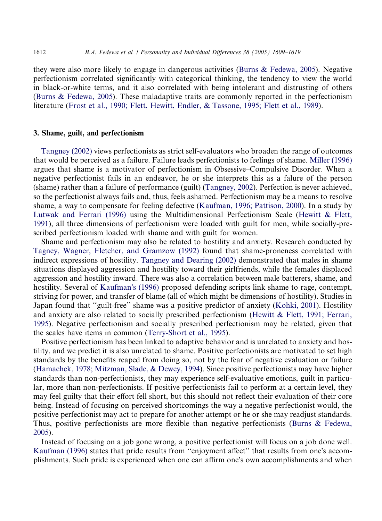they were also more likely to engage in dangerous activities [\(Burns & Fedewa, 2005\)](#page-8-0). Negative perfectionism correlated significantly with categorical thinking, the tendency to view the world in black-or-white terms, and it also correlated with being intolerant and distrusting of others [\(Burns & Fedewa, 2005](#page-8-0)). These maladaptive traits are commonly reported in the perfectionism literature ([Frost et al., 1990; Flett, Hewitt, Endler, & Tassone, 1995; Flett et al., 1989\)](#page-9-0).

# 3. Shame, guilt, and perfectionism

[Tangney \(2002\)](#page-9-0) views perfectionists as strict self-evaluators who broaden the range of outcomes that would be perceived as a failure. Failure leads perfectionists to feelings of shame. [Miller \(1996\)](#page-9-0) argues that shame is a motivator of perfectionism in Obsessive–Compulsive Disorder. When a negative perfectionist fails in an endeavor, he or she interprets this as a falure of the person (shame) rather than a failure of performance (guilt) [\(Tangney, 2002\)](#page-9-0). Perfection is never achieved, so the perfectionist always fails and, thus, feels ashamed. Perfectionism may be a means to resolve shame, a way to compensate for feeling defective ([Kaufman, 1996; Pattison, 2000\)](#page-9-0). In a study by [Lutwak and Ferrari \(1996\)](#page-9-0) using the Multidimensional Perfectionism Scale [\(Hewitt & Flett,](#page-9-0) [1991](#page-9-0)), all three dimensions of perfectionism were loaded with guilt for men, while socially-prescribed perfectionism loaded with shame and with guilt for women.

Shame and perfectionism may also be related to hostility and anxiety. Research conducted by [Tagney, Wagner, Fletcher, and Gramzow \(1992\)](#page-10-0) found that shame-proneness correlated with indirect expressions of hostility. [Tangney and Dearing \(2002\)](#page-9-0) demonstrated that males in shame situations displayed aggression and hostility toward their girlfriends, while the females displaced aggression and hostility inward. There was also a correlation between male batterers, shame, and hostility. Several of [Kaufman](#page-9-0)'s (1996) proposed defending scripts link shame to rage, contempt, striving for power, and transfer of blame (all of which might be dimensions of hostility). Studies in Japan found that ''guilt-free'' shame was a positive predictor of anxiety [\(Kohki, 2001\)](#page-9-0). Hostility and anxiety are also related to socially prescribed perfectionism [\(Hewitt & Flett, 1991; Ferrari,](#page-9-0) [1995](#page-9-0)). Negative perfectionism and socially prescribed perfectionism may be related, given that the scales have items in common [\(Terry-Short et al., 1995\)](#page-10-0).

Positive perfectionism has been linked to adaptive behavior and is unrelated to anxiety and hostility, and we predict it is also unrelated to shame. Positive perfectionists are motivated to set high standards by the benefits reaped from doing so, not by the fear of negative evaluation or failure [\(Hamachek, 1978; Mitzman, Slade, & Dewey, 1994\)](#page-9-0). Since positive perfectionists may have higher standards than non-perfectionists, they may experience self-evaluative emotions, guilt in particular, more than non-perfectionists. If positive perfectionists fail to perform at a certain level, they may feel guilty that their effort fell short, but this should not reflect their evaluation of their core being. Instead of focusing on perceived shortcomings the way a negative perfectionist would, the positive perfectionist may act to prepare for another attempt or he or she may readjust standards. Thus, positive perfectionists are more flexible than negative perfectionists ([Burns & Fedewa,](#page-8-0) [2005](#page-8-0)).

Instead of focusing on a job gone wrong, a positive perfectionist will focus on a job done well. [Kaufman \(1996\)](#page-9-0) states that pride results from "enjoyment affect" that results from one's accomplishments. Such pride is experienced when one can affirm one's own accomplishments and when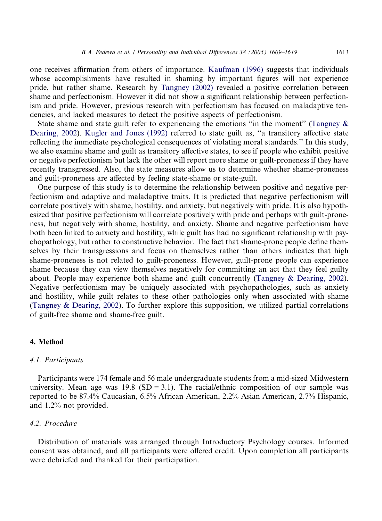one receives affirmation from others of importance. [Kaufman \(1996\)](#page-9-0) suggests that individuals whose accomplishments have resulted in shaming by important figures will not experience pride, but rather shame. Research by [Tangney \(2002\)](#page-9-0) revealed a positive correlation between shame and perfectionism. However it did not show a significant relationship between perfectionism and pride. However, previous research with perfectionism has focused on maladaptive tendencies, and lacked measures to detect the positive aspects of perfectionism.

State shame and state guilt refer to experiencing the emotions "in the moment" (Tangney  $\&$ [Dearing, 2002\)](#page-9-0). [Kugler and Jones \(1992\)](#page-9-0) referred to state guilt as, ''a transitory affective state reflecting the immediate psychological consequences of violating moral standards.'' In this study, we also examine shame and guilt as transitory affective states, to see if people who exhibit positive or negative perfectionism but lack the other will report more shame or guilt-proneness if they have recently transgressed. Also, the state measures allow us to determine whether shame-proneness and guilt-proneness are affected by feeling state-shame or state-guilt.

One purpose of this study is to determine the relationship between positive and negative perfectionism and adaptive and maladaptive traits. It is predicted that negative perfectionism will correlate positively with shame, hostility, and anxiety, but negatively with pride. It is also hypothesized that positive perfectionism will correlate positively with pride and perhaps with guilt-proneness, but negatively with shame, hostility, and anxiety. Shame and negative perfectionism have both been linked to anxiety and hostility, while guilt has had no significant relationship with psychopathology, but rather to constructive behavior. The fact that shame-prone people define themselves by their transgressions and focus on themselves rather than others indicates that high shame-proneness is not related to guilt-proneness. However, guilt-prone people can experience shame because they can view themselves negatively for committing an act that they feel guilty about. People may experience both shame and guilt concurrently [\(Tangney & Dearing, 2002](#page-9-0)). Negative perfectionism may be uniquely associated with psychopathologies, such as anxiety and hostility, while guilt relates to these other pathologies only when associated with shame [\(Tangney & Dearing, 2002](#page-9-0)). To further explore this supposition, we utilized partial correlations of guilt-free shame and shame-free guilt.

#### 4. Method

#### 4.1. Participants

Participants were 174 female and 56 male undergraduate students from a mid-sized Midwestern university. Mean age was  $19.8$  (SD = 3.1). The racial/ethnic composition of our sample was reported to be 87.4% Caucasian, 6.5% African American, 2.2% Asian American, 2.7% Hispanic, and 1.2% not provided.

# 4.2. Procedure

Distribution of materials was arranged through Introductory Psychology courses. Informed consent was obtained, and all participants were offered credit. Upon completion all participants were debriefed and thanked for their participation.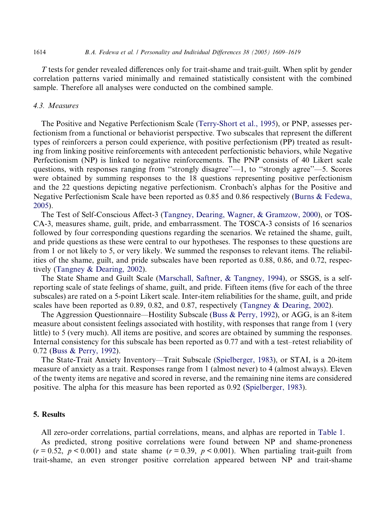#### 1614 B.A. Fedewa et al. / Personality and Individual Differences 38 (2005) 1609–1619

T tests for gender revealed differences only for trait-shame and trait-guilt. When split by gender correlation patterns varied minimally and remained statistically consistent with the combined sample. Therefore all analyses were conducted on the combined sample.

#### 4.3. Measures

The Positive and Negative Perfectionism Scale ([Terry-Short et al., 1995](#page-10-0)), or PNP, assesses perfectionism from a functional or behaviorist perspective. Two subscales that represent the different types of reinforcers a person could experience, with positive perfectionism (PP) treated as resulting from linking positive reinforcements with antecedent perfectionistic behaviors, while Negative Perfectionism (NP) is linked to negative reinforcements. The PNP consists of 40 Likert scale questions, with responses ranging from ''strongly disagree''—1, to ''strongly agree''—5. Scores were obtained by summing responses to the 18 questions representing positive perfectionism and the 22 questions depicting negative perfectionism. Cronbach's alphas for the Positive and Negative Perfectionism Scale have been reported as 0.85 and 0.86 respectively ([Burns & Fedewa,](#page-8-0) [2005](#page-8-0)).

The Test of Self-Conscious Affect-3 ([Tangney, Dearing, Wagner, & Gramzow, 2000\)](#page-9-0), or TOS-CA-3, measures shame, guilt, pride, and embarrassment. The TOSCA-3 consists of 16 scenarios followed by four corresponding questions regarding the scenarios. We retained the shame, guilt, and pride questions as these were central to our hypotheses. The responses to these questions are from 1 or not likely to 5, or very likely. We summed the responses to relevant items. The reliabilities of the shame, guilt, and pride subscales have been reported as 0.88, 0.86, and 0.72, respectively [\(Tangney & Dearing, 2002\)](#page-9-0).

The State Shame and Guilt Scale ([Marschall, Saftner, & Tangney, 1994\)](#page-9-0), or SSGS, is a selfreporting scale of state feelings of shame, guilt, and pride. Fifteen items (five for each of the three subscales) are rated on a 5-point Likert scale. Inter-item reliabilities for the shame, guilt, and pride scales have been reported as 0.89, 0.82, and 0.87, respectively ([Tangney & Dearing, 2002\)](#page-9-0).

The Aggression Questionnaire—Hostility Subscale ([Buss & Perry, 1992\)](#page-8-0), or AGG, is an 8-item measure about consistent feelings associated with hostility, with responses that range from 1 (very little) to 5 (very much). All items are positive, and scores are obtained by summing the responses. Internal consistency for this subscale has been reported as 0.77 and with a test–retest reliability of 0.72 [\(Buss & Perry, 1992](#page-8-0)).

The State-Trait Anxiety Inventory—Trait Subscale [\(Spielberger, 1983](#page-9-0)), or STAI, is a 20-item measure of anxiety as a trait. Responses range from 1 (almost never) to 4 (almost always). Eleven of the twenty items are negative and scored in reverse, and the remaining nine items are considered positive. The alpha for this measure has been reported as 0.92 [\(Spielberger, 1983\)](#page-9-0).

# 5. Results

All zero-order correlations, partial correlations, means, and alphas are reported in [Table 1.](#page-6-0) As predicted, strong positive correlations were found between NP and shame-proneness  $(r = 0.52, p \le 0.001)$  and state shame  $(r = 0.39, p \le 0.001)$ . When partialing trait-guilt from trait-shame, an even stronger positive correlation appeared between NP and trait-shame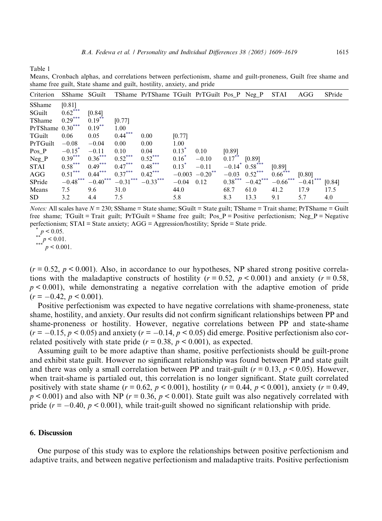<span id="page-6-0"></span>Table 1

Means, Cronbach alphas, and correlations between perfectionism, shame and guilt-proneness, Guilt free shame and shame free guilt, State shame and guilt, hostility, anxiety, and pride

| Criterion          | SShame SGuilt |             |            | TShame PrTShame TGuilt PrTGuilt Pos P Neg P |         |                   |                      |            | <b>STAI</b> | AGG     | SPride |
|--------------------|---------------|-------------|------------|---------------------------------------------|---------|-------------------|----------------------|------------|-------------|---------|--------|
| SShame             | [0.81]        |             |            |                                             |         |                   |                      |            |             |         |        |
| SGuilt             | $0.62***$     | [0.84]      |            |                                             |         |                   |                      |            |             |         |        |
| TShame             | $0.29***$     | $0.19***$   | [0.77]     |                                             |         |                   |                      |            |             |         |        |
| PrTShame $0.30***$ |               | $0.19***$   | 1.00       |                                             |         |                   |                      |            |             |         |        |
| TGuilt             | 0.06          | 0.05        | $0.44***$  | 0.00                                        | [0.77]  |                   |                      |            |             |         |        |
| PrTGuilt           | $-0.08$       | $-0.04$     | 0.00       | 0.00                                        | 1.00    |                   |                      |            |             |         |        |
| Pos P              | $-0.15^*$     | $-0.11$     | 0.10       | 0.04                                        | $0.13*$ | 0.10              | [0.89]               |            |             |         |        |
| $Neg_P$            | $0.39***$     | $0.36***$   | $0.52***$  | $0.52***$                                   | $0.16*$ | $-0.10$           | $0.17***$            | [0.89]     |             |         |        |
| <b>STAI</b>        | $0.58***$     | $0.49***$   | $0.47***$  | $0.48***$                                   | $0.13*$ | $-0.11$           | $-0.14$ <sup>*</sup> | $0.58***$  | [0.89]      |         |        |
| AGG                | $0.51***$     | $0.44***$   | $0.37***$  | $0.42***$                                   |         | $-0.003 -0.20$ ** | $-0.03$              | $0.52***$  | $0.66***$   | [0.80]  |        |
| SPride             | $-0.48***$    | $-0.40$ *** | $-0.31***$ | $-0.33***$                                  | $-0.04$ | 0.12              | $0.38***$            | $-0.42***$ | $-0.66$ *** | $-0.41$ | [0.84] |
| Means              | 7.5           | 9.6         | 31.0       |                                             | 44.0    |                   | 68.7                 | 61.0       | 41.2        | 17.9    | 17.5   |
| SD                 | 3.2           | 4.4         | 7.5        |                                             | 5.8     |                   | 8.3                  | 13.3       | 9.1         | 5.7     | 4.0    |

*Notes:* All scales have  $N = 230$ ; SShame = State shame; SGuilt = State guilt; TShame = Trait shame; PrTShame = Guilt free shame; TGuilt = Trait guilt; PrTGuilt = Shame free guilt; Pos\_P = Positive perfectionism; Neg\_P = Negative perfectionism; STAI = State anxiety; AGG = Aggression/hostility; Spride = State pride.  $p < 0.05$ .<br>
\*\*\* p < 0.01.<br>
\*\*\* p < 0.001.

 $(r = 0.52, p \le 0.001)$ . Also, in accordance to our hypotheses, NP shared strong positive correlations with the maladaptive constructs of hostility ( $r = 0.52$ ,  $p < 0.001$ ) and anxiety ( $r = 0.58$ ,  $p < 0.001$ ), while demonstrating a negative correlation with the adaptive emotion of pride  $(r = -0.42, p \le 0.001)$ .

Positive perfectionism was expected to have negative correlations with shame-proneness, state shame, hostility, and anxiety. Our results did not confirm significant relationships between PP and shame-proneness or hostility. However, negative correlations between PP and state-shame  $(r = -0.15, p \le 0.05)$  and anxiety  $(r = -0.14, p \le 0.05)$  did emerge. Positive perfectionism also correlated positively with state pride ( $r = 0.38$ ,  $p < 0.001$ ), as expected.

Assuming guilt to be more adaptive than shame, positive perfectionists should be guilt-prone and exhibit state guilt. However no significant relationship was found between PP and state guilt and there was only a small correlation between PP and trait-guilt  $(r = 0.13, p \le 0.05)$ . However, when trait-shame is partialed out, this correlation is no longer significant. State guilt correlated positively with state shame ( $r = 0.62$ ,  $p < 0.001$ ), hostility ( $r = 0.44$ ,  $p < 0.001$ ), anxiety ( $r = 0.49$ ,  $p \le 0.001$ ) and also with NP ( $r = 0.36$ ,  $p \le 0.001$ ). State guilt was also negatively correlated with pride  $(r = -0.40, p \le 0.001)$ , while trait-guilt showed no significant relationship with pride.

### 6. Discussion

One purpose of this study was to explore the relationships between positive perfectionism and adaptive traits, and between negative perfectionism and maladaptive traits. Positive perfectionism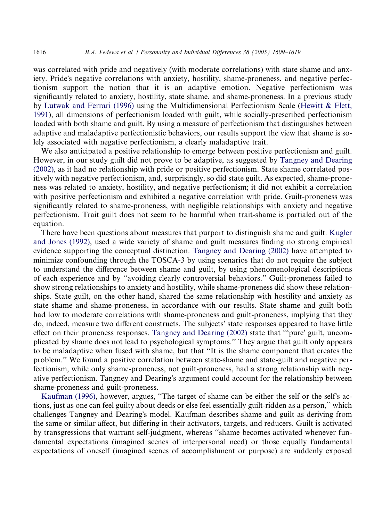was correlated with pride and negatively (with moderate correlations) with state shame and anxiety. Pride's negative correlations with anxiety, hostility, shame-proneness, and negative perfectionism support the notion that it is an adaptive emotion. Negative perfectionism was significantly related to anxiety, hostility, state shame, and shame-proneness. In a previous study by [Lutwak and Ferrari \(1996\)](#page-9-0) using the Multidimensional Perfectionism Scale [\(Hewitt & Flett,](#page-9-0) [1991](#page-9-0)), all dimensions of perfectionism loaded with guilt, while socially-prescribed perfectionism loaded with both shame and guilt. By using a measure of perfectionism that distinguishes between adaptive and maladaptive perfectionistic behaviors, our results support the view that shame is solely associated with negative perfectionism, a clearly maladaptive trait.

We also anticipated a positive relationship to emerge between positive perfectionism and guilt. However, in our study guilt did not prove to be adaptive, as suggested by [Tangney and Dearing](#page-9-0) [\(2002\),](#page-9-0) as it had no relationship with pride or positive perfectionism. State shame correlated positively with negative perfectionism, and, surprisingly, so did state guilt. As expected, shame-proneness was related to anxiety, hostility, and negative perfectionism; it did not exhibit a correlation with positive perfectionism and exhibited a negative correlation with pride. Guilt-proneness was significantly related to shame-proneness, with negligible relationships with anxiety and negative perfectionism. Trait guilt does not seem to be harmful when trait-shame is partialed out of the equation.

There have been questions about measures that purport to distinguish shame and guilt. [Kugler](#page-9-0) [and Jones \(1992\)](#page-9-0), used a wide variety of shame and guilt measures finding no strong empirical evidence supporting the conceptual distinction. [Tangney and Dearing \(2002\)](#page-9-0) have attempted to minimize confounding through the TOSCA-3 by using scenarios that do not require the subject to understand the difference between shame and guilt, by using phenomenological descriptions of each experience and by ''avoiding clearly controversial behaviors.'' Guilt-proneness failed to show strong relationships to anxiety and hostility, while shame-proneness did show these relationships. State guilt, on the other hand, shared the same relationship with hostility and anxiety as state shame and shame-proneness, in accordance with our results. State shame and guilt both had low to moderate correlations with shame-proneness and guilt-proneness, implying that they do, indeed, measure two different constructs. The subjects' state responses appeared to have little effect on their proneness responses. [Tangney and Dearing \(2002\)](#page-9-0) state that ""pure' guilt, uncomplicated by shame does not lead to psychological symptoms.'' They argue that guilt only appears to be maladaptive when fused with shame, but that ''It is the shame component that creates the problem.'' We found a positive correlation between state-shame and state-guilt and negative perfectionism, while only shame-proneness, not guilt-proneness, had a strong relationship with negative perfectionism. Tangney and Dearing's argument could account for the relationship between shame-proneness and guilt-proneness.

[Kaufman \(1996\)](#page-9-0), however, argues, "The target of shame can be either the self or the self's actions, just as one can feel guilty about deeds or else feel essentially guilt-ridden as a person,'' which challenges Tangney and Dearing's model. Kaufman describes shame and guilt as deriving from the same or similar affect, but differing in their activators, targets, and reducers. Guilt is activated by transgressions that warrant self-judgment, whereas ''shame becomes activated whenever fundamental expectations (imagined scenes of interpersonal need) or those equally fundamental expectations of oneself (imagined scenes of accomplishment or purpose) are suddenly exposed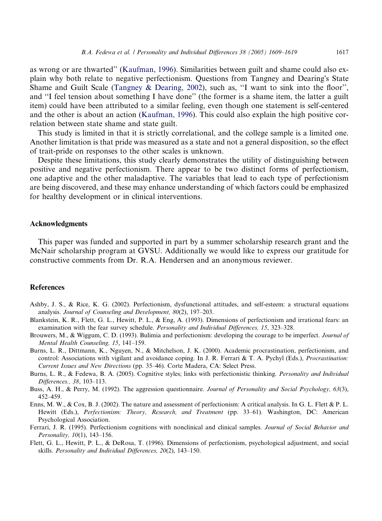<span id="page-8-0"></span>as wrong or are thwarted'' [\(Kaufman, 1996](#page-9-0)). Similarities between guilt and shame could also explain why both relate to negative perfectionism. Questions from Tangney and Dearing's State Shame and Guilt Scale [\(Tangney & Dearing, 2002](#page-9-0)), such as, "I want to sink into the floor", and ''I feel tension about something I have done'' (the former is a shame item, the latter a guilt item) could have been attributed to a similar feeling, even though one statement is self-centered and the other is about an action ([Kaufman, 1996](#page-9-0)). This could also explain the high positive correlation between state shame and state guilt.

This study is limited in that it is strictly correlational, and the college sample is a limited one. Another limitation is that pride was measured as a state and not a general disposition, so the effect of trait-pride on responses to the other scales is unknown.

Despite these limitations, this study clearly demonstrates the utility of distinguishing between positive and negative perfectionism. There appear to be two distinct forms of perfectionism, one adaptive and the other maladaptive. The variables that lead to each type of perfectionism are being discovered, and these may enhance understanding of which factors could be emphasized for healthy development or in clinical interventions.

#### Acknowledgments

This paper was funded and supported in part by a summer scholarship research grant and the McNair scholarship program at GVSU. Additionally we would like to express our gratitude for constructive comments from Dr. R.A. Hendersen and an anonymous reviewer.

# References

- Ashby, J. S., & Rice, K. G. (2002). Perfectionism, dysfunctional attitudes, and self-esteem: a structural equations analysis. Journal of Counseling and Development, 80(2), 197–203.
- Blankstein, K. R., Flett, G. L., Hewitt, P. L., & Eng, A. (1993). Dimensions of perfectionism and irrational fears: an examination with the fear survey schedule. Personality and Individual Differences, 15, 323-328.
- Brouwers, M., & Wiggum, C. D. (1993). Bulimia and perfectionism: developing the courage to be imperfect. Journal of Mental Health Counseling, 15, 141–159.
- Burns, L. R., Dittmann, K., Nguyen, N., & Mitchelson, J. K. (2000). Academic procrastination, perfectionism, and control: Associations with vigilant and avoidance coping. In J. R. Ferrari & T. A. Pychyl (Eds.), *Procrastination*: Current Issues and New Directions (pp. 35–46). Corte Madera, CA: Select Press.
- Burns, L. R., & Fedewa, B. A. (2005). Cognitive styles; links with perfectionistic thinking. Personality and Individual Differences., 38, 103–113.
- Buss, A. H., & Perry, M. (1992). The aggression questionnaire. Journal of Personality and Social Psychology, 63(3), 452–459.
- Enns, M. W., & Cox, B. J. (2002). The nature and assessment of perfectionism: A critical analysis. In G. L. Flett & P. L. Hewitt (Eds.), Perfectionism: Theory, Research, and Treatment (pp. 33–61). Washington, DC: American Psychological Association.
- Ferrari, J. R. (1995). Perfectionism cognitions with nonclinical and clinical samples. Journal of Social Behavior and Personality, 10(1), 143–156.
- Flett, G. L., Hewitt, P. L., & DeRosa, T. (1996). Dimensions of perfectionism, psychological adjustment, and social skills. Personality and Individual Differences, 20(2), 143–150.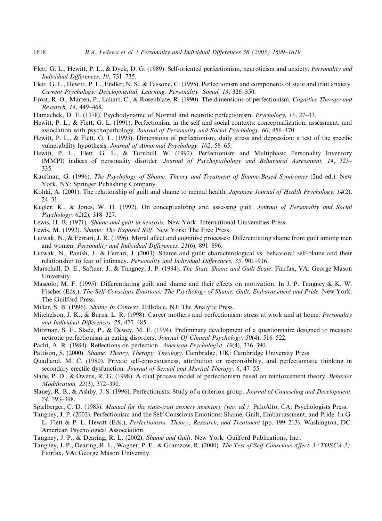- <span id="page-9-0"></span>Flett, G. L., Hewitt, P. L., & Dyck, D. G. (1989). Self-oriented perfectionism, neuroticism and anxiety. Personality and Individual Differences, 10, 731–735.
- Flett, G. L., Hewitt, P. L., Endler, N. S., & Tassone, C. (1995). Perfectionism and components of state and trait anxiety. Current Psychology: Developmental, Learning, Personality, Social, 13, 326–350.
- Frost, R. O., Marten, P., Lahart, C., & Rosenblate, R. (1990). The dimensions of perfectionism. Cognitive Therapy and Research, 14, 449–468.
- Hamachek, D. E. (1978). Psychodynamic of Normal and neurotic perfectionism. Psychology, 15, 27–33.
- Hewitt, P. L., & Flett, G. L. (1991). Perfectionism in the self and social contexts: conceptualization, assessment, and association with psychopathology. Journal of Personality and Social Psychology, 60, 456–470.
- Hewitt, P. L., & Flett, G. L. (1993). Dimensions of perfectionism, daily stress and depression: a test of the specific vulnerability hypothesis. Journal of Abnormal Psychology, 102, 58–65.
- Hewitt, P. L., Flett, G. L., & Turnbull, W. (1992). Perfectionism and Multiphasic Personality Inventory (MMPI) indices of personality disorder. Journal of Psychopathology and Behavioral Assessment, 14, 323– 335.
- Kaufman, G. (1996). The Psychology of Shame: Theory and Treatment of Shame-Based Syndromes (2nd ed.). New York, NY: Springer Publishing Company.
- Kohki, A. (2001). The relationship of guilt and shame to mental health. *Japanese Journal of Health Psychology*, 14(2), 24–31.
- Kugler, K., & Jones, W. H. (1992). On conceptualizing and assessing guilt. Journal of Personality and Social Psychology, 62(2), 318–327.
- Lewis, H. B. (1971). Shame and guilt in neurosis. New York: International Universities Press.
- Lewis, M. (1992). Shame: The Exposed Self. New York: The Free Press.
- Lutwak, N., & Ferrari, J. R. (1996). Moral affect and cognitive processes: Differentiating shame from guilt among men and women. Personality and Individual Differences, 21(6), 891–896.
- Lutwak, N., Panish, J., & Ferrari, J. (2003). Shame and guilt: characterological vs. behavioral self-blame and their relationship to fear of intimacy. Personality and Individual Differences, 35, 901-916.
- Marschall, D. E., Saftner, J., & Tangney, J. P. (1994). The State Shame and Guilt Scale. Fairfax, VA: George Mason University.
- Mascolo, M. F. (1995). Differentiating guilt and shame and their effects on motivation. In J. P. Tangney & K. W. Fischer (Eds.), The Self-Conscious Emotions: The Psychology of Shame, Guilt, Embarassment and Pride. New York: The Guilford Press.
- Miller, S. B. (1996). Shame In Context. Hillsdale, NJ: The Analytic Press.
- Mitchelson, J. K., & Burns, L. R. (1998). Career mothers and perfectionism: stress at work and at home. Personality and Individual Differences, 25, 477–485.
- Mitzman, S. F., Slade, P., & Dewey, M. E. (1994). Preliminary development of a questionnaire designed to measure neurotic perfectionism in eating disorders. Journal Of Clinical Psychology, 50(4), 516–522.
- Pacht, A. R. (1984). Reflections on perfection. American Psychologist, 19(4), 336–390.
- Pattison, S. (2000). Shame: Theory, Therapy, Theology. Cambridge, UK: Cambridge University Press.
- Quadland, M. C. (1980). Private self-consciousness, attribution or responsibility, and perfectionistic thinking in secondary erectile dysfunction. Journal of Sexual and Marital Therapy, 6, 47–55.
- Slade, P. D., & Owens, R. G. (1998). A dual process model of perfectionism based on reinforcement theory. Behavior Modification, 22(3), 372–390.
- Slaney, R. B., & Ashby, J. S. (1996). Perfectionists: Study of a criterion group. Journal of Counseling and Development, 74, 393–398.
- Spielberger, C. D. (1983). Manual for the state-trait anxiety inventory (rev. ed.). PaloAlto, CA: Psychologists Press.
- Tangney, J. P. (2002). Perfectionism and the Self-Conscious Emotions: Shame, Guilt, Embarrassment, and Pride. In G. L. Flett & P. L. Hewitt (Eds.), Perfectionism: Theory, Research, and Treatment (pp. 199–213). Washington, DC: American Psychological Assocciation.
- Tangney, J. P., & Dearing, R. L. (2002). Shame and Guilt. New York: Guilford Publications, Inc..
- Tangney, J. P., Dearing, R. L., Wagner, P. E., & Gramzow, R. (2000). The Test of Self-Conscious Affect–3 (TOSCA-3). Fairfax, VA: George Mason University.